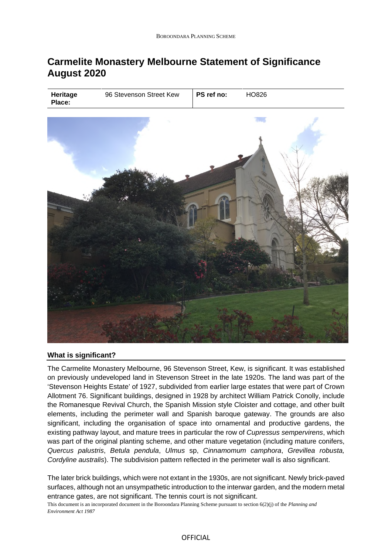# **Carmelite Monastery Melbourne Statement of Significance August 2020**



## **What is significant?**

The Carmelite Monastery Melbourne, 96 Stevenson Street, Kew, is significant. It was established on previously undeveloped land in Stevenson Street in the late 1920s. The land was part of the 'Stevenson Heights Estate' of 1927, subdivided from earlier large estates that were part of Crown Allotment 76. Significant buildings, designed in 1928 by architect William Patrick Conolly, include the Romanesque Revival Church, the Spanish Mission style Cloister and cottage, and other built elements, including the perimeter wall and Spanish baroque gateway. The grounds are also significant, including the organisation of space into ornamental and productive gardens, the existing pathway layout, and mature trees in particular the row of *Cupressus sempervirens*, which was part of the original planting scheme, and other mature vegetation (including mature conifers, *Quercus palustris*, *Betula pendula*, *Ulmus* sp, *Cinnamomum camphora*, *Grevillea robusta, Cordyline australis*). The subdivision pattern reflected in the perimeter wall is also significant.

The later brick buildings, which were not extant in the 1930s, are not significant. Newly brick-paved surfaces, although not an unsympathetic introduction to the interwar garden, and the modern metal entrance gates, are not significant. The tennis court is not significant.

This document is an incorporated document in the Boroondara Planning Scheme pursuant to section 6(2)(j) of the *Planning and Environment Act 1987*

## OFFICIAL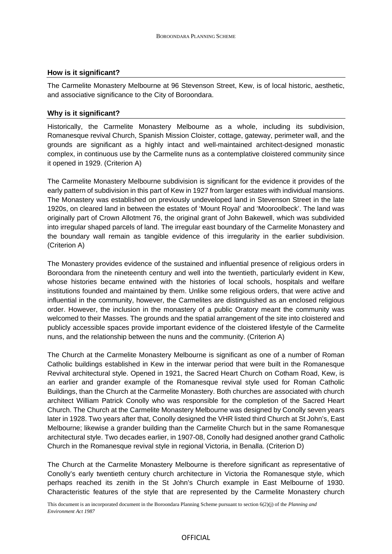#### **How is it significant?**

The Carmelite Monastery Melbourne at 96 Stevenson Street, Kew, is of local historic, aesthetic, and associative significance to the City of Boroondara.

### **Why is it significant?**

Historically, the Carmelite Monastery Melbourne as a whole, including its subdivision, Romanesque revival Church, Spanish Mission Cloister, cottage, gateway, perimeter wall, and the grounds are significant as a highly intact and well-maintained architect-designed monastic complex, in continuous use by the Carmelite nuns as a contemplative cloistered community since it opened in 1929. (Criterion A)

The Carmelite Monastery Melbourne subdivision is significant for the evidence it provides of the early pattern of subdivision in this part of Kew in 1927 from larger estates with individual mansions. The Monastery was established on previously undeveloped land in Stevenson Street in the late 1920s, on cleared land in between the estates of 'Mount Royal' and 'Mooroolbeck'. The land was originally part of Crown Allotment 76, the original grant of John Bakewell, which was subdivided into irregular shaped parcels of land. The irregular east boundary of the Carmelite Monastery and the boundary wall remain as tangible evidence of this irregularity in the earlier subdivision. (Criterion A)

The Monastery provides evidence of the sustained and influential presence of religious orders in Boroondara from the nineteenth century and well into the twentieth, particularly evident in Kew, whose histories became entwined with the histories of local schools, hospitals and welfare institutions founded and maintained by them. Unlike some religious orders, that were active and influential in the community, however, the Carmelites are distinguished as an enclosed religious order. However, the inclusion in the monastery of a public Oratory meant the community was welcomed to their Masses. The grounds and the spatial arrangement of the site into cloistered and publicly accessible spaces provide important evidence of the cloistered lifestyle of the Carmelite nuns, and the relationship between the nuns and the community. (Criterion A)

The Church at the Carmelite Monastery Melbourne is significant as one of a number of Roman Catholic buildings established in Kew in the interwar period that were built in the Romanesque Revival architectural style. Opened in 1921, the Sacred Heart Church on Cotham Road, Kew, is an earlier and grander example of the Romanesque revival style used for Roman Catholic Buildings, than the Church at the Carmelite Monastery. Both churches are associated with church architect William Patrick Conolly who was responsible for the completion of the Sacred Heart Church. The Church at the Carmelite Monastery Melbourne was designed by Conolly seven years later in 1928. Two years after that, Conolly designed the VHR listed third Church at St John's, East Melbourne; likewise a grander building than the Carmelite Church but in the same Romanesque architectural style. Two decades earlier, in 1907-08, Conolly had designed another grand Catholic Church in the Romanesque revival style in regional Victoria, in Benalla. (Criterion D)

The Church at the Carmelite Monastery Melbourne is therefore significant as representative of Conolly's early twentieth century church architecture in Victoria the Romanesque style, which perhaps reached its zenith in the St John's Church example in East Melbourne of 1930. Characteristic features of the style that are represented by the Carmelite Monastery church

This document is an incorporated document in the Boroondara Planning Scheme pursuant to section 6(2)(j) of the *Planning and Environment Act 1987*

#### OFFICIAL